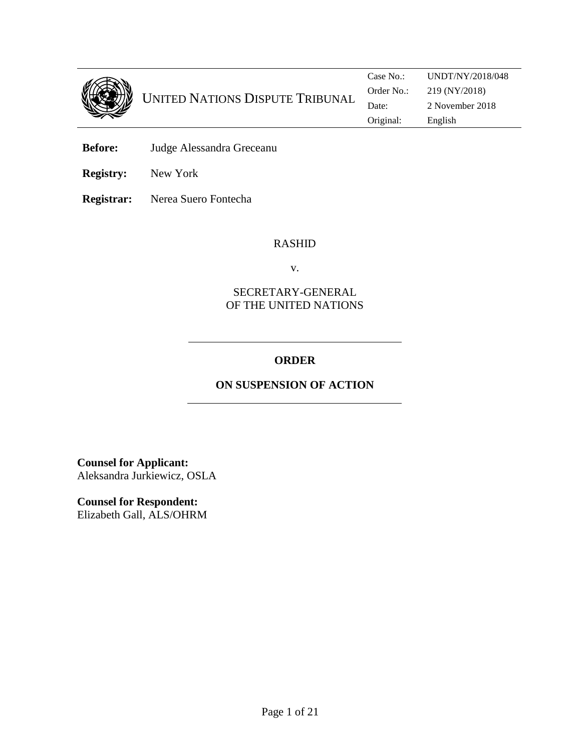

- **Before:** Judge Alessandra Greceanu
- **Registry:** New York

**Registrar:** Nerea Suero Fontecha

### RASHID

v.

## SECRETARY-GENERAL OF THE UNITED NATIONS

## **ORDER**

# **ON SUSPENSION OF ACTION**

**Counsel for Applicant:**  Aleksandra Jurkiewicz, OSLA

**Counsel for Respondent:**  Elizabeth Gall, ALS/OHRM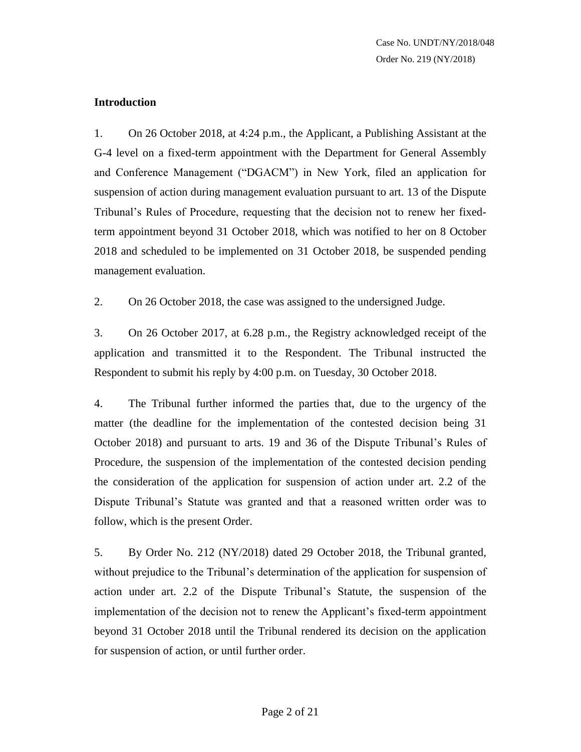### **Introduction**

1. On 26 October 2018, at 4:24 p.m., the Applicant, a Publishing Assistant at the G-4 level on a fixed-term appointment with the Department for General Assembly and Conference Management ("DGACM") in New York, filed an application for suspension of action during management evaluation pursuant to art. 13 of the Dispute Tribunal's Rules of Procedure, requesting that the decision not to renew her fixedterm appointment beyond 31 October 2018, which was notified to her on 8 October 2018 and scheduled to be implemented on 31 October 2018, be suspended pending management evaluation.

2. On 26 October 2018, the case was assigned to the undersigned Judge.

3. On 26 October 2017, at 6.28 p.m., the Registry acknowledged receipt of the application and transmitted it to the Respondent. The Tribunal instructed the Respondent to submit his reply by 4:00 p.m. on Tuesday, 30 October 2018.

4. The Tribunal further informed the parties that, due to the urgency of the matter (the deadline for the implementation of the contested decision being 31 October 2018) and pursuant to arts. 19 and 36 of the Dispute Tribunal's Rules of Procedure, the suspension of the implementation of the contested decision pending the consideration of the application for suspension of action under art. 2.2 of the Dispute Tribunal's Statute was granted and that a reasoned written order was to follow, which is the present Order.

5. By Order No. 212 (NY/2018) dated 29 October 2018, the Tribunal granted, without prejudice to the Tribunal's determination of the application for suspension of action under art. 2.2 of the Dispute Tribunal's Statute, the suspension of the implementation of the decision not to renew the Applicant's fixed-term appointment beyond 31 October 2018 until the Tribunal rendered its decision on the application for suspension of action, or until further order.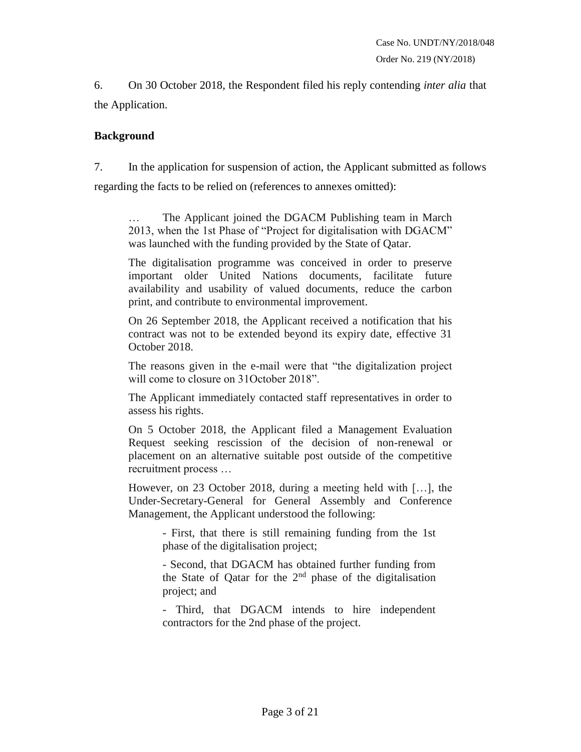6. On 30 October 2018, the Respondent filed his reply contending *inter alia* that the Application.

### **Background**

7. In the application for suspension of action, the Applicant submitted as follows regarding the facts to be relied on (references to annexes omitted):

The Applicant joined the DGACM Publishing team in March 2013, when the 1st Phase of "Project for digitalisation with DGACM" was launched with the funding provided by the State of Qatar.

The digitalisation programme was conceived in order to preserve important older United Nations documents, facilitate future availability and usability of valued documents, reduce the carbon print, and contribute to environmental improvement.

On 26 September 2018, the Applicant received a notification that his contract was not to be extended beyond its expiry date, effective 31 October 2018.

The reasons given in the e-mail were that "the digitalization project will come to closure on 31 October 2018".

The Applicant immediately contacted staff representatives in order to assess his rights.

On 5 October 2018, the Applicant filed a Management Evaluation Request seeking rescission of the decision of non-renewal or placement on an alternative suitable post outside of the competitive recruitment process …

However, on 23 October 2018, during a meeting held with […], the Under-Secretary-General for General Assembly and Conference Management, the Applicant understood the following:

> - First, that there is still remaining funding from the 1st phase of the digitalisation project;

> - Second, that DGACM has obtained further funding from the State of Qatar for the  $2<sup>nd</sup>$  phase of the digitalisation project; and

> - Third, that DGACM intends to hire independent contractors for the 2nd phase of the project.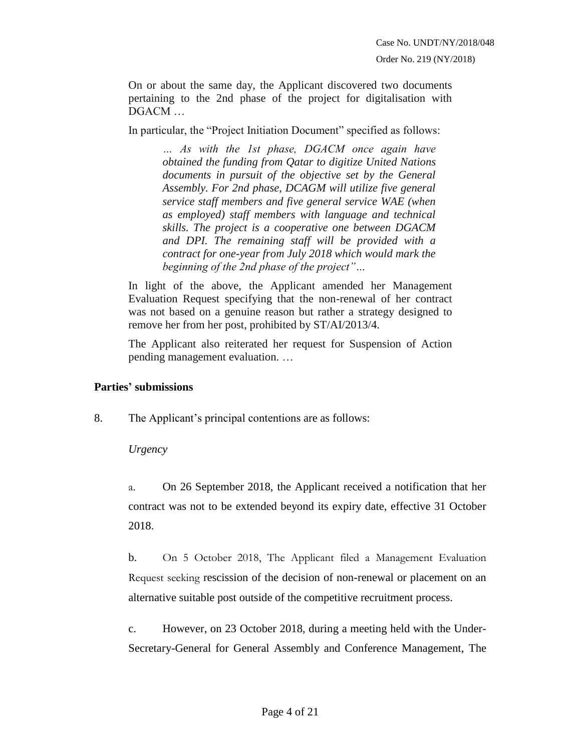On or about the same day, the Applicant discovered two documents pertaining to the 2nd phase of the project for digitalisation with DGACM …

In particular, the "Project Initiation Document" specified as follows:

*… As with the 1st phase, DGACM once again have obtained the funding from Qatar to digitize United Nations documents in pursuit of the objective set by the General Assembly. For 2nd phase, DCAGM will utilize five general service staff members and five general service WAE (when as employed) staff members with language and technical skills. The project is a cooperative one between DGACM and DPI. The remaining staff will be provided with a contract for one-year from July 2018 which would mark the beginning of the 2nd phase of the project"…*

In light of the above, the Applicant amended her Management Evaluation Request specifying that the non-renewal of her contract was not based on a genuine reason but rather a strategy designed to remove her from her post, prohibited by ST/AI/2013/4.

The Applicant also reiterated her request for Suspension of Action pending management evaluation. …

## **Parties' submissions**

8. The Applicant's principal contentions are as follows:

## *Urgency*

a. On 26 September 2018, the Applicant received a notification that her contract was not to be extended beyond its expiry date, effective 31 October 2018.

b. On 5 October 2018, The Applicant filed a Management Evaluation Request seeking rescission of the decision of non-renewal or placement on an alternative suitable post outside of the competitive recruitment process.

c. However, on 23 October 2018, during a meeting held with the Under-Secretary-General for General Assembly and Conference Management, The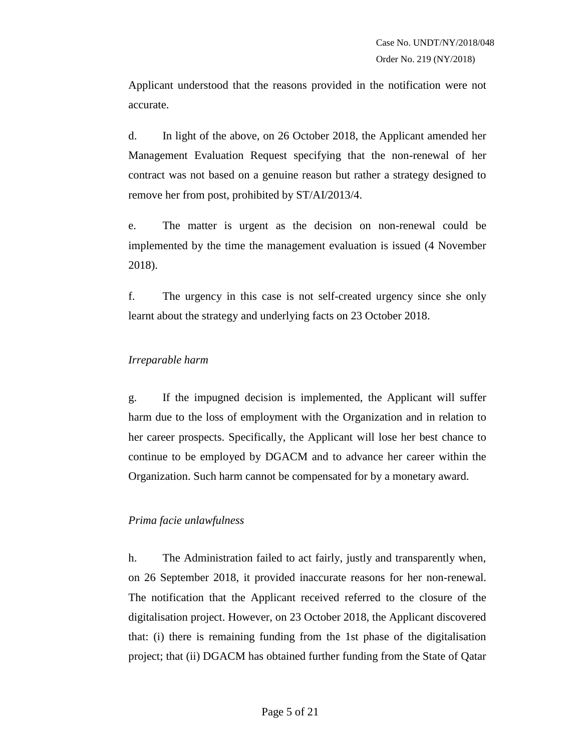Applicant understood that the reasons provided in the notification were not accurate.

d. In light of the above, on 26 October 2018, the Applicant amended her Management Evaluation Request specifying that the non-renewal of her contract was not based on a genuine reason but rather a strategy designed to remove her from post, prohibited by ST/AI/2013/4.

e. The matter is urgent as the decision on non-renewal could be implemented by the time the management evaluation is issued (4 November 2018).

f. The urgency in this case is not self-created urgency since she only learnt about the strategy and underlying facts on 23 October 2018.

### *Irreparable harm*

g. If the impugned decision is implemented, the Applicant will suffer harm due to the loss of employment with the Organization and in relation to her career prospects. Specifically, the Applicant will lose her best chance to continue to be employed by DGACM and to advance her career within the Organization. Such harm cannot be compensated for by a monetary award.

## *Prima facie unlawfulness*

h. The Administration failed to act fairly, justly and transparently when, on 26 September 2018, it provided inaccurate reasons for her non-renewal. The notification that the Applicant received referred to the closure of the digitalisation project. However, on 23 October 2018, the Applicant discovered that: (i) there is remaining funding from the 1st phase of the digitalisation project; that (ii) DGACM has obtained further funding from the State of Qatar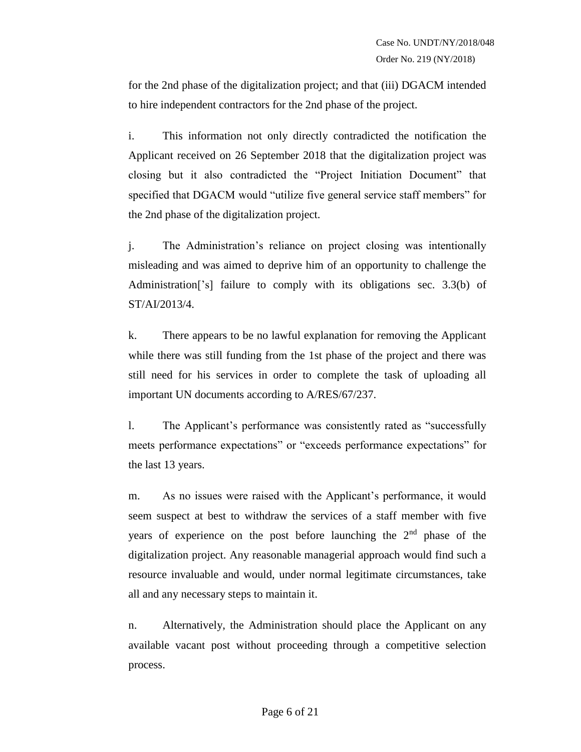for the 2nd phase of the digitalization project; and that (iii) DGACM intended to hire independent contractors for the 2nd phase of the project.

i. This information not only directly contradicted the notification the Applicant received on 26 September 2018 that the digitalization project was closing but it also contradicted the "Project Initiation Document" that specified that DGACM would "utilize five general service staff members" for the 2nd phase of the digitalization project.

j. The Administration's reliance on project closing was intentionally misleading and was aimed to deprive him of an opportunity to challenge the Administration['s] failure to comply with its obligations sec. 3.3(b) of ST/AI/2013/4.

k. There appears to be no lawful explanation for removing the Applicant while there was still funding from the 1st phase of the project and there was still need for his services in order to complete the task of uploading all important UN documents according to A/RES/67/237.

l. The Applicant's performance was consistently rated as "successfully meets performance expectations" or "exceeds performance expectations" for the last 13 years.

m. As no issues were raised with the Applicant's performance, it would seem suspect at best to withdraw the services of a staff member with five years of experience on the post before launching the 2<sup>nd</sup> phase of the digitalization project. Any reasonable managerial approach would find such a resource invaluable and would, under normal legitimate circumstances, take all and any necessary steps to maintain it.

n. Alternatively, the Administration should place the Applicant on any available vacant post without proceeding through a competitive selection process.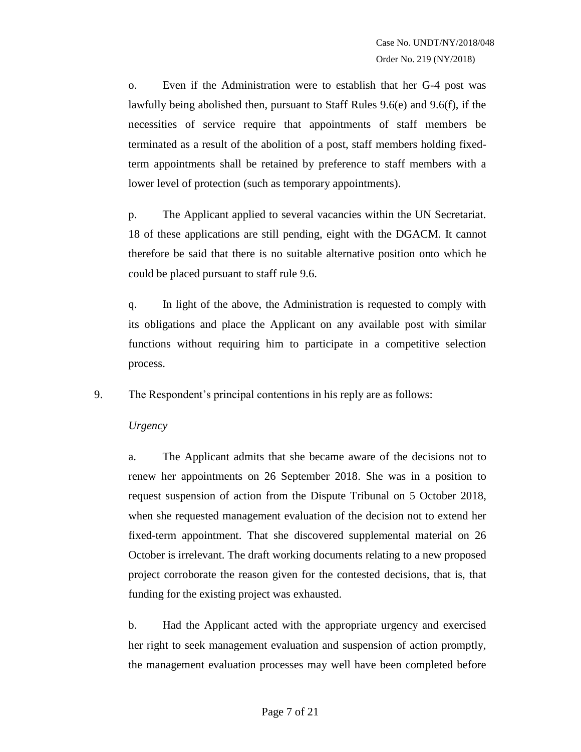o. Even if the Administration were to establish that her G-4 post was lawfully being abolished then, pursuant to Staff Rules 9.6(e) and 9.6(f), if the necessities of service require that appointments of staff members be terminated as a result of the abolition of a post, staff members holding fixedterm appointments shall be retained by preference to staff members with a lower level of protection (such as temporary appointments).

p. The Applicant applied to several vacancies within the UN Secretariat. 18 of these applications are still pending, eight with the DGACM. It cannot therefore be said that there is no suitable alternative position onto which he could be placed pursuant to staff rule 9.6.

q. In light of the above, the Administration is requested to comply with its obligations and place the Applicant on any available post with similar functions without requiring him to participate in a competitive selection process.

9. The Respondent's principal contentions in his reply are as follows:

*Urgency*

a. The Applicant admits that she became aware of the decisions not to renew her appointments on 26 September 2018. She was in a position to request suspension of action from the Dispute Tribunal on 5 October 2018, when she requested management evaluation of the decision not to extend her fixed-term appointment. That she discovered supplemental material on 26 October is irrelevant. The draft working documents relating to a new proposed project corroborate the reason given for the contested decisions, that is, that funding for the existing project was exhausted.

b. Had the Applicant acted with the appropriate urgency and exercised her right to seek management evaluation and suspension of action promptly, the management evaluation processes may well have been completed before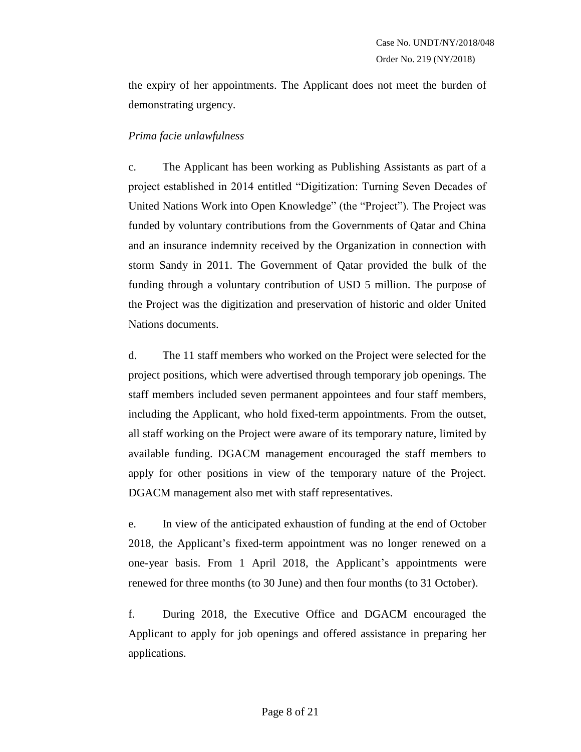the expiry of her appointments. The Applicant does not meet the burden of demonstrating urgency.

### *Prima facie unlawfulness*

c. The Applicant has been working as Publishing Assistants as part of a project established in 2014 entitled "Digitization: Turning Seven Decades of United Nations Work into Open Knowledge" (the "Project"). The Project was funded by voluntary contributions from the Governments of Qatar and China and an insurance indemnity received by the Organization in connection with storm Sandy in 2011. The Government of Qatar provided the bulk of the funding through a voluntary contribution of USD 5 million. The purpose of the Project was the digitization and preservation of historic and older United Nations documents.

d. The 11 staff members who worked on the Project were selected for the project positions, which were advertised through temporary job openings. The staff members included seven permanent appointees and four staff members, including the Applicant, who hold fixed-term appointments. From the outset, all staff working on the Project were aware of its temporary nature, limited by available funding. DGACM management encouraged the staff members to apply for other positions in view of the temporary nature of the Project. DGACM management also met with staff representatives.

e. In view of the anticipated exhaustion of funding at the end of October 2018, the Applicant's fixed-term appointment was no longer renewed on a one-year basis. From 1 April 2018, the Applicant's appointments were renewed for three months (to 30 June) and then four months (to 31 October).

f. During 2018, the Executive Office and DGACM encouraged the Applicant to apply for job openings and offered assistance in preparing her applications.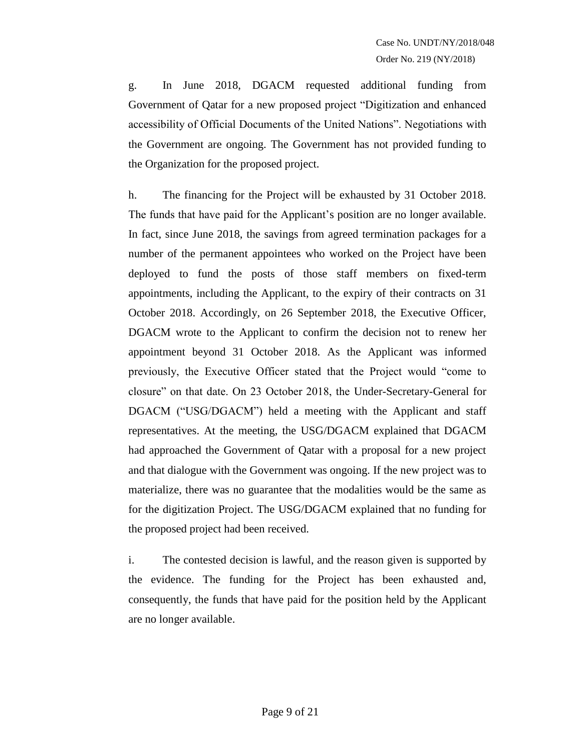g. In June 2018, DGACM requested additional funding from Government of Qatar for a new proposed project "Digitization and enhanced accessibility of Official Documents of the United Nations". Negotiations with the Government are ongoing. The Government has not provided funding to the Organization for the proposed project.

h. The financing for the Project will be exhausted by 31 October 2018. The funds that have paid for the Applicant's position are no longer available. In fact, since June 2018, the savings from agreed termination packages for a number of the permanent appointees who worked on the Project have been deployed to fund the posts of those staff members on fixed-term appointments, including the Applicant, to the expiry of their contracts on 31 October 2018. Accordingly, on 26 September 2018, the Executive Officer, DGACM wrote to the Applicant to confirm the decision not to renew her appointment beyond 31 October 2018. As the Applicant was informed previously, the Executive Officer stated that the Project would "come to closure" on that date. On 23 October 2018, the Under-Secretary-General for DGACM ("USG/DGACM") held a meeting with the Applicant and staff representatives. At the meeting, the USG/DGACM explained that DGACM had approached the Government of Qatar with a proposal for a new project and that dialogue with the Government was ongoing. If the new project was to materialize, there was no guarantee that the modalities would be the same as for the digitization Project. The USG/DGACM explained that no funding for the proposed project had been received.

i. The contested decision is lawful, and the reason given is supported by the evidence. The funding for the Project has been exhausted and, consequently, the funds that have paid for the position held by the Applicant are no longer available.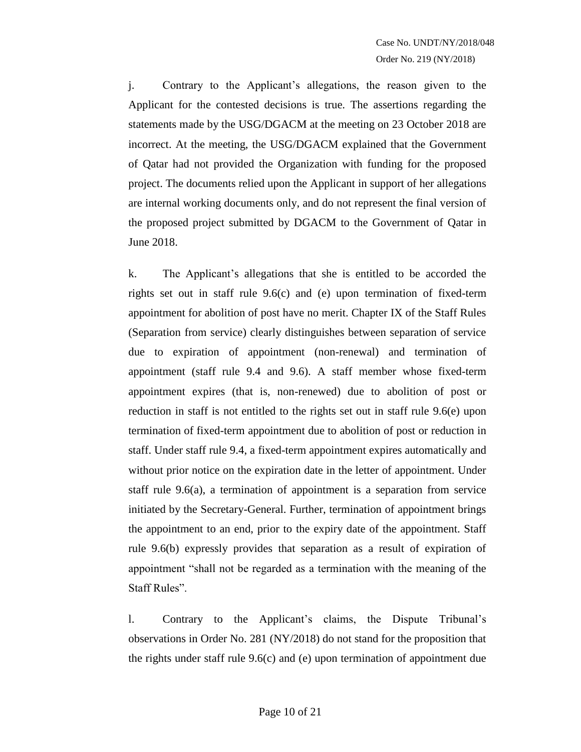j. Contrary to the Applicant's allegations, the reason given to the Applicant for the contested decisions is true. The assertions regarding the statements made by the USG/DGACM at the meeting on 23 October 2018 are incorrect. At the meeting, the USG/DGACM explained that the Government of Qatar had not provided the Organization with funding for the proposed project. The documents relied upon the Applicant in support of her allegations are internal working documents only, and do not represent the final version of the proposed project submitted by DGACM to the Government of Qatar in June 2018.

k. The Applicant's allegations that she is entitled to be accorded the rights set out in staff rule 9.6(c) and (e) upon termination of fixed-term appointment for abolition of post have no merit. Chapter IX of the Staff Rules (Separation from service) clearly distinguishes between separation of service due to expiration of appointment (non-renewal) and termination of appointment (staff rule 9.4 and 9.6). A staff member whose fixed-term appointment expires (that is, non-renewed) due to abolition of post or reduction in staff is not entitled to the rights set out in staff rule 9.6(e) upon termination of fixed-term appointment due to abolition of post or reduction in staff. Under staff rule 9.4, a fixed-term appointment expires automatically and without prior notice on the expiration date in the letter of appointment. Under staff rule 9.6(a), a termination of appointment is a separation from service initiated by the Secretary-General. Further, termination of appointment brings the appointment to an end, prior to the expiry date of the appointment. Staff rule 9.6(b) expressly provides that separation as a result of expiration of appointment "shall not be regarded as a termination with the meaning of the Staff Rules".

l. Contrary to the Applicant's claims, the Dispute Tribunal's observations in Order No. 281 (NY/2018) do not stand for the proposition that the rights under staff rule 9.6(c) and (e) upon termination of appointment due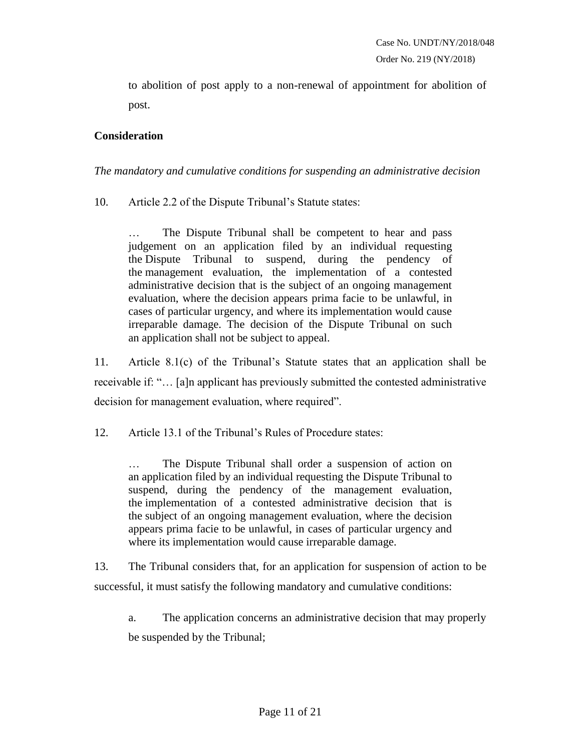to abolition of post apply to a non-renewal of appointment for abolition of post.

## **Consideration**

*The mandatory and cumulative conditions for suspending an administrative decision*

10. Article 2.2 of the Dispute Tribunal's Statute states:

The Dispute Tribunal shall be competent to hear and pass judgement on an application filed by an individual requesting the Dispute Tribunal to suspend, during the pendency of the management evaluation, the implementation of a contested administrative decision that is the subject of an ongoing management evaluation, where the decision appears prima facie to be unlawful, in cases of particular urgency, and where its implementation would cause irreparable damage. The decision of the Dispute Tribunal on such an application shall not be subject to appeal.

11. Article 8.1(c) of the Tribunal's Statute states that an application shall be receivable if: "… [a]n applicant has previously submitted the contested administrative decision for management evaluation, where required".

12. Article 13.1 of the Tribunal's Rules of Procedure states:

… The Dispute Tribunal shall order a suspension of action on an application filed by an individual requesting the Dispute Tribunal to suspend, during the pendency of the management evaluation, the implementation of a contested administrative decision that is the subject of an ongoing management evaluation, where the decision appears prima facie to be unlawful, in cases of particular urgency and where its implementation would cause irreparable damage.

13. The Tribunal considers that, for an application for suspension of action to be successful, it must satisfy the following mandatory and cumulative conditions:

a. The application concerns an administrative decision that may properly be suspended by the Tribunal;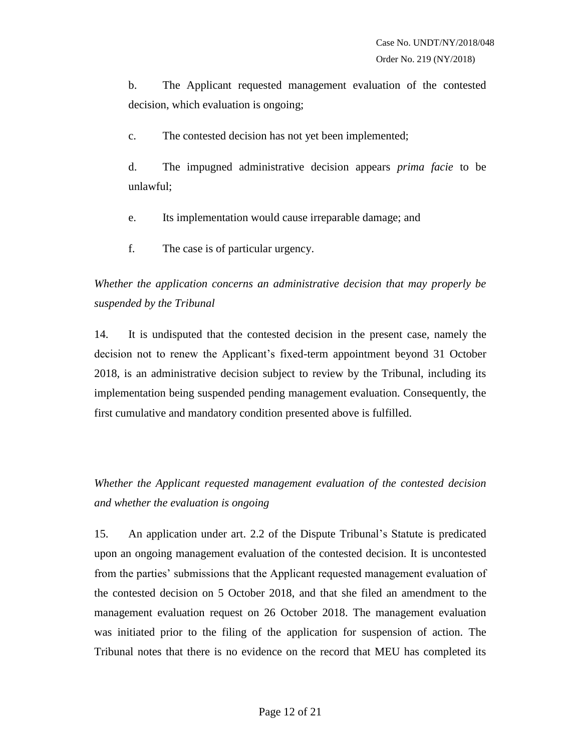b. The Applicant requested management evaluation of the contested decision, which evaluation is ongoing;

c. The contested decision has not yet been implemented;

d. The impugned administrative decision appears *prima facie* to be unlawful;

- e. Its implementation would cause irreparable damage; and
- f. The case is of particular urgency.

*Whether the application concerns an administrative decision that may properly be suspended by the Tribunal*

14. It is undisputed that the contested decision in the present case, namely the decision not to renew the Applicant's fixed-term appointment beyond 31 October 2018, is an administrative decision subject to review by the Tribunal, including its implementation being suspended pending management evaluation. Consequently, the first cumulative and mandatory condition presented above is fulfilled.

*Whether the Applicant requested management evaluation of the contested decision and whether the evaluation is ongoing* 

15. An application under art. 2.2 of the Dispute Tribunal's Statute is predicated upon an ongoing management evaluation of the contested decision. It is uncontested from the parties' submissions that the Applicant requested management evaluation of the contested decision on 5 October 2018, and that she filed an amendment to the management evaluation request on 26 October 2018. The management evaluation was initiated prior to the filing of the application for suspension of action. The Tribunal notes that there is no evidence on the record that MEU has completed its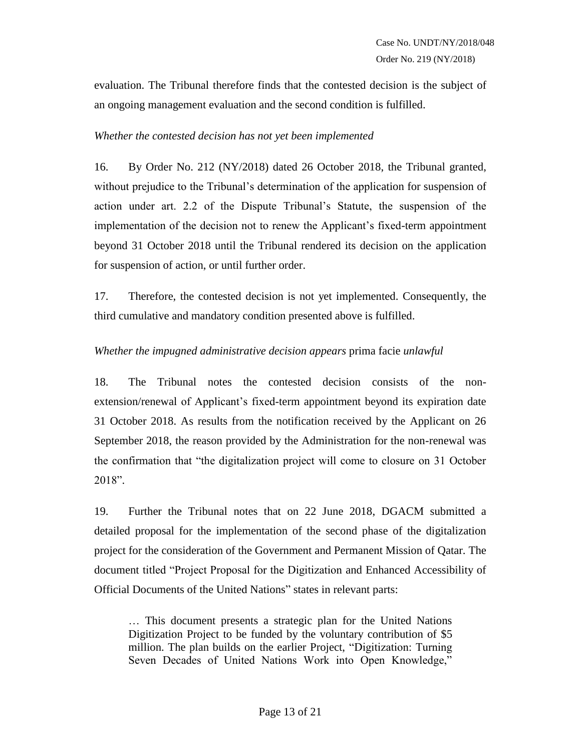evaluation. The Tribunal therefore finds that the contested decision is the subject of an ongoing management evaluation and the second condition is fulfilled.

#### *Whether the contested decision has not yet been implemented*

16. By Order No. 212 (NY/2018) dated 26 October 2018, the Tribunal granted, without prejudice to the Tribunal's determination of the application for suspension of action under art. 2.2 of the Dispute Tribunal's Statute, the suspension of the implementation of the decision not to renew the Applicant's fixed-term appointment beyond 31 October 2018 until the Tribunal rendered its decision on the application for suspension of action, or until further order.

17. Therefore, the contested decision is not yet implemented. Consequently, the third cumulative and mandatory condition presented above is fulfilled.

### *Whether the impugned administrative decision appears* prima facie *unlawful*

18. The Tribunal notes the contested decision consists of the nonextension/renewal of Applicant's fixed-term appointment beyond its expiration date 31 October 2018. As results from the notification received by the Applicant on 26 September 2018, the reason provided by the Administration for the non-renewal was the confirmation that "the digitalization project will come to closure on 31 October 2018".

19. Further the Tribunal notes that on 22 June 2018, DGACM submitted a detailed proposal for the implementation of the second phase of the digitalization project for the consideration of the Government and Permanent Mission of Qatar. The document titled "Project Proposal for the Digitization and Enhanced Accessibility of Official Documents of the United Nations" states in relevant parts:

… This document presents a strategic plan for the United Nations Digitization Project to be funded by the voluntary contribution of \$5 million. The plan builds on the earlier Project, "Digitization: Turning Seven Decades of United Nations Work into Open Knowledge,"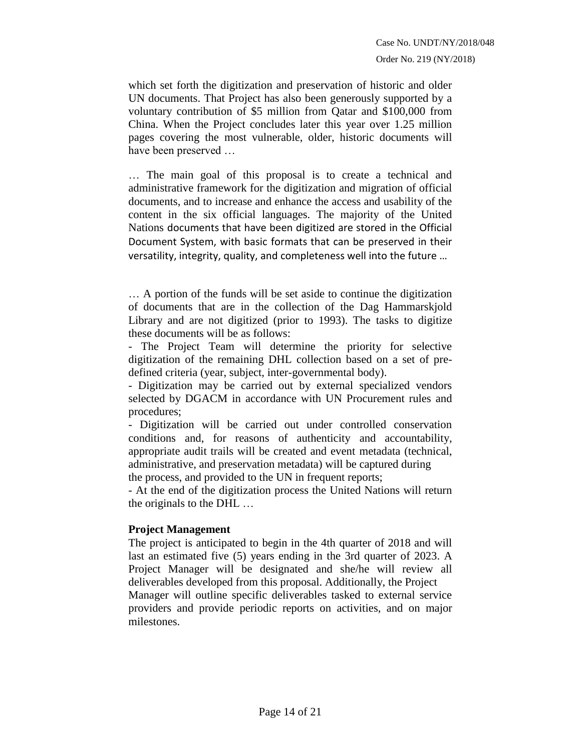which set forth the digitization and preservation of historic and older UN documents. That Project has also been generously supported by a voluntary contribution of \$5 million from Qatar and \$100,000 from China. When the Project concludes later this year over 1.25 million pages covering the most vulnerable, older, historic documents will have been preserved …

… The main goal of this proposal is to create a technical and administrative framework for the digitization and migration of official documents, and to increase and enhance the access and usability of the content in the six official languages. The majority of the United Nations documents that have been digitized are stored in the Official Document System, with basic formats that can be preserved in their versatility, integrity, quality, and completeness well into the future …

… A portion of the funds will be set aside to continue the digitization of documents that are in the collection of the Dag Hammarskjold Library and are not digitized (prior to 1993). The tasks to digitize these documents will be as follows:

- The Project Team will determine the priority for selective digitization of the remaining DHL collection based on a set of predefined criteria (year, subject, inter-governmental body).

- Digitization may be carried out by external specialized vendors selected by DGACM in accordance with UN Procurement rules and procedures;

- Digitization will be carried out under controlled conservation conditions and, for reasons of authenticity and accountability, appropriate audit trails will be created and event metadata (technical, administrative, and preservation metadata) will be captured during

the process, and provided to the UN in frequent reports;

- At the end of the digitization process the United Nations will return the originals to the DHL …

#### **Project Management**

The project is anticipated to begin in the 4th quarter of 2018 and will last an estimated five (5) years ending in the 3rd quarter of 2023. A Project Manager will be designated and she/he will review all deliverables developed from this proposal. Additionally, the Project Manager will outline specific deliverables tasked to external service providers and provide periodic reports on activities, and on major milestones.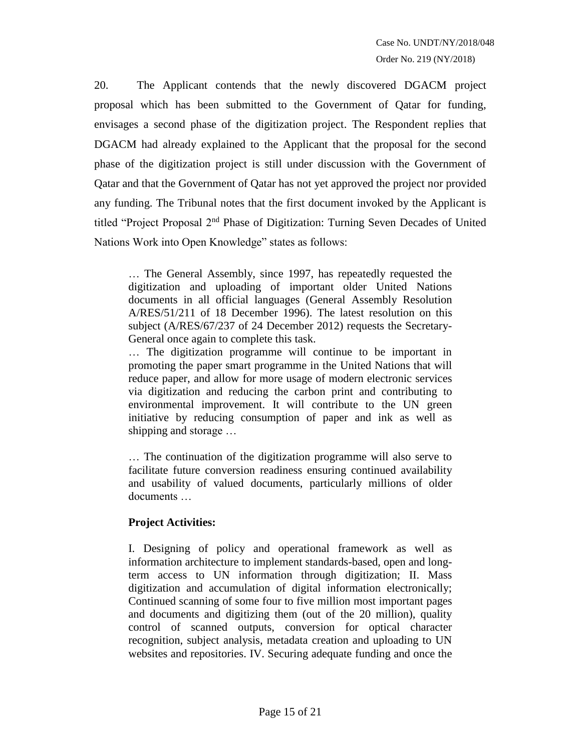20. The Applicant contends that the newly discovered DGACM project proposal which has been submitted to the Government of Qatar for funding, envisages a second phase of the digitization project. The Respondent replies that DGACM had already explained to the Applicant that the proposal for the second phase of the digitization project is still under discussion with the Government of Qatar and that the Government of Qatar has not yet approved the project nor provided any funding. The Tribunal notes that the first document invoked by the Applicant is titled "Project Proposal 2nd Phase of Digitization: Turning Seven Decades of United Nations Work into Open Knowledge" states as follows:

… The General Assembly, since 1997, has repeatedly requested the digitization and uploading of important older United Nations documents in all official languages (General Assembly Resolution A/RES/51/211 of 18 December 1996). The latest resolution on this subject (A/RES/67/237 of 24 December 2012) requests the Secretary-General once again to complete this task.

… The digitization programme will continue to be important in promoting the paper smart programme in the United Nations that will reduce paper, and allow for more usage of modern electronic services via digitization and reducing the carbon print and contributing to environmental improvement. It will contribute to the UN green initiative by reducing consumption of paper and ink as well as shipping and storage …

… The continuation of the digitization programme will also serve to facilitate future conversion readiness ensuring continued availability and usability of valued documents, particularly millions of older documents …

## **Project Activities:**

I. Designing of policy and operational framework as well as information architecture to implement standards-based, open and longterm access to UN information through digitization; II. Mass digitization and accumulation of digital information electronically; Continued scanning of some four to five million most important pages and documents and digitizing them (out of the 20 million), quality control of scanned outputs, conversion for optical character recognition, subject analysis, metadata creation and uploading to UN websites and repositories. IV. Securing adequate funding and once the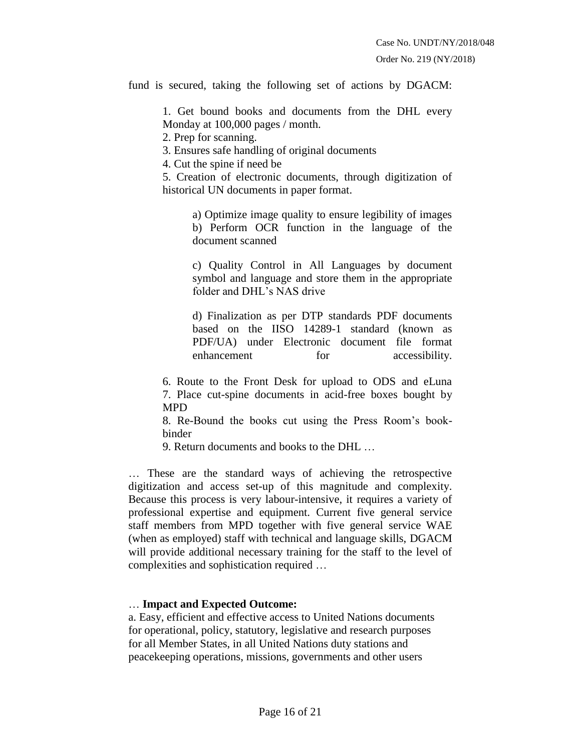fund is secured, taking the following set of actions by DGACM:

1. Get bound books and documents from the DHL every Monday at 100,000 pages / month.

2. Prep for scanning.

3. Ensures safe handling of original documents

4. Cut the spine if need be

5. Creation of electronic documents, through digitization of historical UN documents in paper format.

a) Optimize image quality to ensure legibility of images b) Perform OCR function in the language of the document scanned

c) Quality Control in All Languages by document symbol and language and store them in the appropriate folder and DHL's NAS drive

d) Finalization as per DTP standards PDF documents based on the IISO 14289-1 standard (known as PDF/UA) under Electronic document file format enhancement for accessibility.

6. Route to the Front Desk for upload to ODS and eLuna 7. Place cut-spine documents in acid-free boxes bought by MPD

8. Re-Bound the books cut using the Press Room's bookbinder

9. Return documents and books to the DHL …

… These are the standard ways of achieving the retrospective digitization and access set-up of this magnitude and complexity. Because this process is very labour-intensive, it requires a variety of professional expertise and equipment. Current five general service staff members from MPD together with five general service WAE (when as employed) staff with technical and language skills, DGACM will provide additional necessary training for the staff to the level of complexities and sophistication required …

#### … **Impact and Expected Outcome:**

a. Easy, efficient and effective access to United Nations documents for operational, policy, statutory, legislative and research purposes for all Member States, in all United Nations duty stations and peacekeeping operations, missions, governments and other users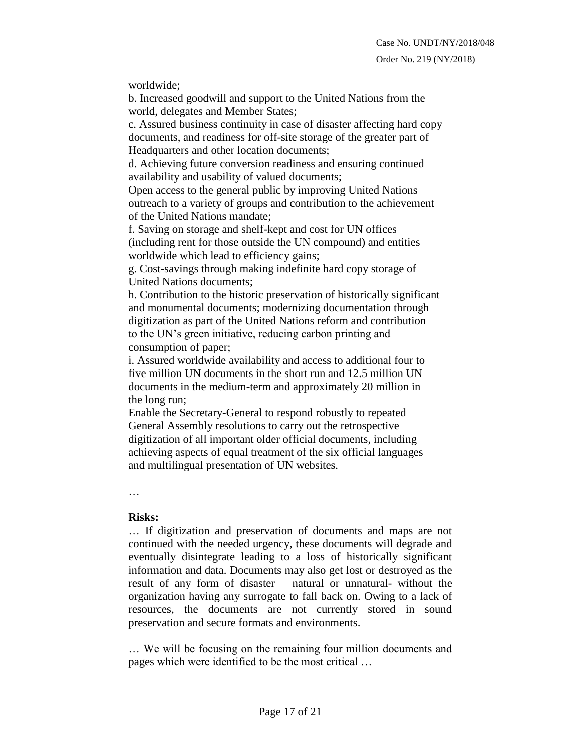worldwide;

b. Increased goodwill and support to the United Nations from the world, delegates and Member States;

c. Assured business continuity in case of disaster affecting hard copy documents, and readiness for off-site storage of the greater part of Headquarters and other location documents;

d. Achieving future conversion readiness and ensuring continued availability and usability of valued documents;

Open access to the general public by improving United Nations outreach to a variety of groups and contribution to the achievement of the United Nations mandate;

f. Saving on storage and shelf-kept and cost for UN offices (including rent for those outside the UN compound) and entities worldwide which lead to efficiency gains;

g. Cost-savings through making indefinite hard copy storage of United Nations documents;

h. Contribution to the historic preservation of historically significant and monumental documents; modernizing documentation through digitization as part of the United Nations reform and contribution to the UN's green initiative, reducing carbon printing and consumption of paper;

i. Assured worldwide availability and access to additional four to five million UN documents in the short run and 12.5 million UN documents in the medium-term and approximately 20 million in the long run;

Enable the Secretary-General to respond robustly to repeated General Assembly resolutions to carry out the retrospective digitization of all important older official documents, including achieving aspects of equal treatment of the six official languages and multilingual presentation of UN websites.

…

#### **Risks:**

… If digitization and preservation of documents and maps are not continued with the needed urgency, these documents will degrade and eventually disintegrate leading to a loss of historically significant information and data. Documents may also get lost or destroyed as the result of any form of disaster – natural or unnatural- without the organization having any surrogate to fall back on. Owing to a lack of resources, the documents are not currently stored in sound preservation and secure formats and environments.

… We will be focusing on the remaining four million documents and pages which were identified to be the most critical …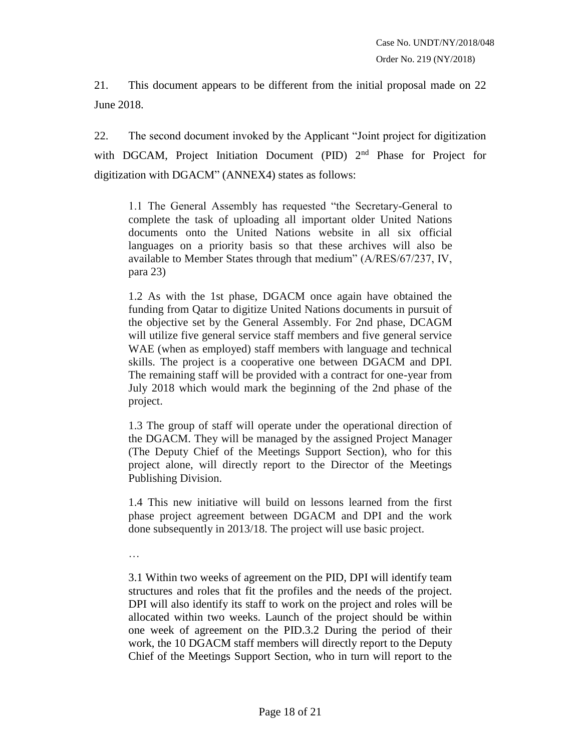21. This document appears to be different from the initial proposal made on 22 June 2018.

22. The second document invoked by the Applicant "Joint project for digitization with DGCAM, Project Initiation Document (PID) 2<sup>nd</sup> Phase for Project for digitization with DGACM" (ANNEX4) states as follows:

1.1 The General Assembly has requested "the Secretary-General to complete the task of uploading all important older United Nations documents onto the United Nations website in all six official languages on a priority basis so that these archives will also be available to Member States through that medium" (A/RES/67/237, IV, para 23)

1.2 As with the 1st phase, DGACM once again have obtained the funding from Qatar to digitize United Nations documents in pursuit of the objective set by the General Assembly. For 2nd phase, DCAGM will utilize five general service staff members and five general service WAE (when as employed) staff members with language and technical skills. The project is a cooperative one between DGACM and DPI. The remaining staff will be provided with a contract for one-year from July 2018 which would mark the beginning of the 2nd phase of the project.

1.3 The group of staff will operate under the operational direction of the DGACM. They will be managed by the assigned Project Manager (The Deputy Chief of the Meetings Support Section), who for this project alone, will directly report to the Director of the Meetings Publishing Division.

1.4 This new initiative will build on lessons learned from the first phase project agreement between DGACM and DPI and the work done subsequently in 2013/18. The project will use basic project.

…

3.1 Within two weeks of agreement on the PID, DPI will identify team structures and roles that fit the profiles and the needs of the project. DPI will also identify its staff to work on the project and roles will be allocated within two weeks. Launch of the project should be within one week of agreement on the PID.3.2 During the period of their work, the 10 DGACM staff members will directly report to the Deputy Chief of the Meetings Support Section, who in turn will report to the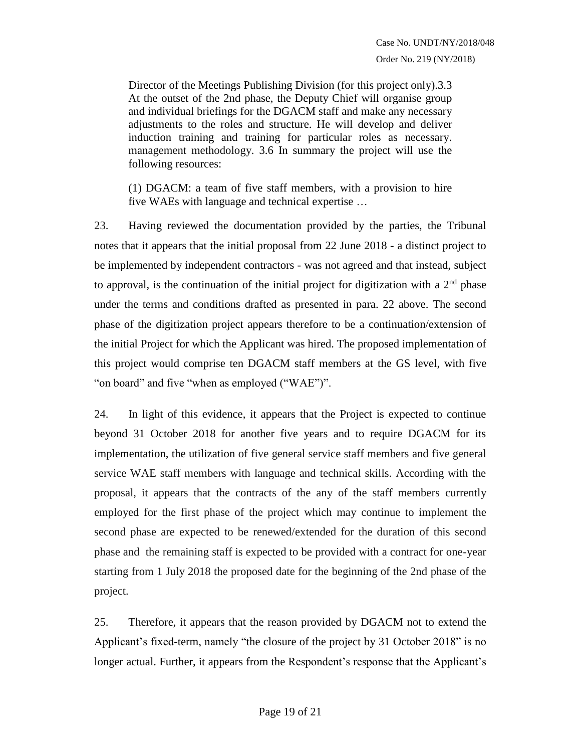Director of the Meetings Publishing Division (for this project only).3.3 At the outset of the 2nd phase, the Deputy Chief will organise group and individual briefings for the DGACM staff and make any necessary adjustments to the roles and structure. He will develop and deliver induction training and training for particular roles as necessary. management methodology. 3.6 In summary the project will use the following resources:

(1) DGACM: a team of five staff members, with a provision to hire five WAEs with language and technical expertise …

23. Having reviewed the documentation provided by the parties, the Tribunal notes that it appears that the initial proposal from 22 June 2018 - a distinct project to be implemented by independent contractors - was not agreed and that instead, subject to approval, is the continuation of the initial project for digitization with a  $2<sup>nd</sup>$  phase under the terms and conditions drafted as presented in para. 22 above. The second phase of the digitization project appears therefore to be a continuation/extension of the initial Project for which the Applicant was hired. The proposed implementation of this project would comprise ten DGACM staff members at the GS level, with five "on board" and five "when as employed ("WAE")".

24. In light of this evidence, it appears that the Project is expected to continue beyond 31 October 2018 for another five years and to require DGACM for its implementation, the utilization of five general service staff members and five general service WAE staff members with language and technical skills. According with the proposal, it appears that the contracts of the any of the staff members currently employed for the first phase of the project which may continue to implement the second phase are expected to be renewed/extended for the duration of this second phase and the remaining staff is expected to be provided with a contract for one-year starting from 1 July 2018 the proposed date for the beginning of the 2nd phase of the project.

25. Therefore, it appears that the reason provided by DGACM not to extend the Applicant's fixed-term, namely "the closure of the project by 31 October 2018" is no longer actual. Further, it appears from the Respondent's response that the Applicant's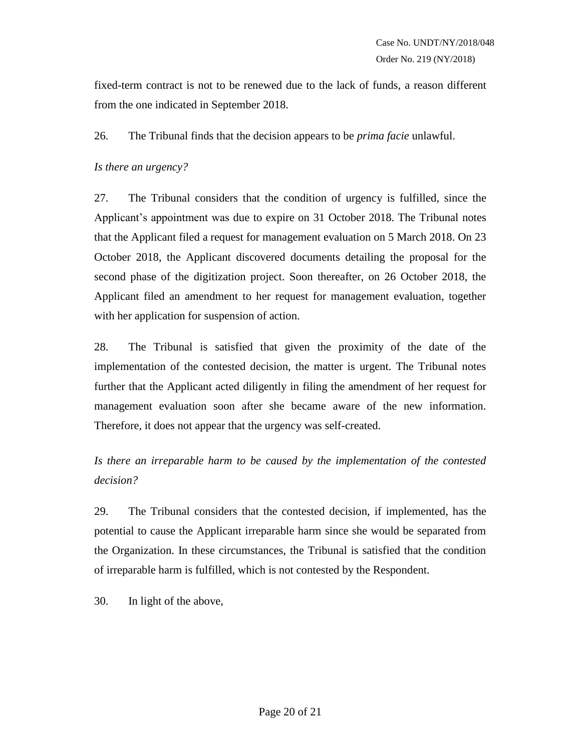fixed-term contract is not to be renewed due to the lack of funds, a reason different from the one indicated in September 2018.

26. The Tribunal finds that the decision appears to be *prima facie* unlawful.

## *Is there an urgency?*

27. The Tribunal considers that the condition of urgency is fulfilled, since the Applicant's appointment was due to expire on 31 October 2018. The Tribunal notes that the Applicant filed a request for management evaluation on 5 March 2018. On 23 October 2018, the Applicant discovered documents detailing the proposal for the second phase of the digitization project. Soon thereafter, on 26 October 2018, the Applicant filed an amendment to her request for management evaluation, together with her application for suspension of action.

28. The Tribunal is satisfied that given the proximity of the date of the implementation of the contested decision, the matter is urgent. The Tribunal notes further that the Applicant acted diligently in filing the amendment of her request for management evaluation soon after she became aware of the new information. Therefore, it does not appear that the urgency was self-created.

*Is there an irreparable harm to be caused by the implementation of the contested decision?*

29. The Tribunal considers that the contested decision, if implemented, has the potential to cause the Applicant irreparable harm since she would be separated from the Organization. In these circumstances, the Tribunal is satisfied that the condition of irreparable harm is fulfilled, which is not contested by the Respondent.

30. In light of the above,